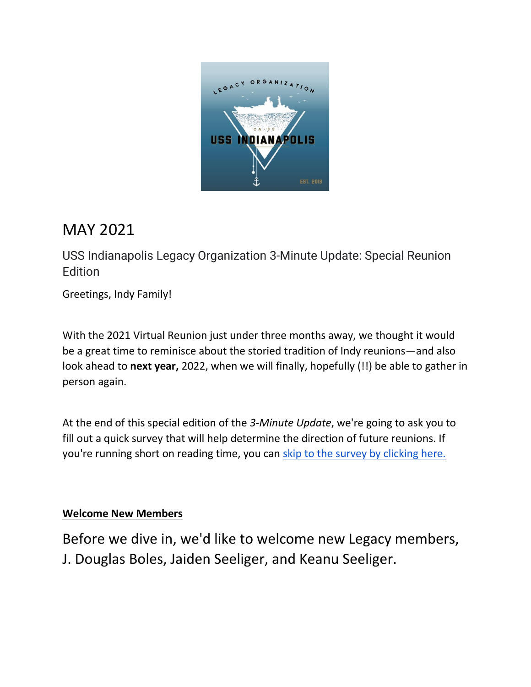

# MAY 2021

USS Indianapolis Legacy Organization 3-Minute Update: Special Reunion Edition

Greetings, Indy Family!

With the 2021 Virtual Reunion just under three months away, we thought it would be a great time to reminisce about the storied tradition of Indy reunions—and also look ahead to **next year,** 2022, when we will finally, hopefully (!!) be able to gather in person again.

At the end of this special edition of the *3-Minute Update*, we're going to ask you to fill out a quick survey that will help determine the direction of future reunions. If you're running short on reading time, you can [skip to the survey by clicking here.](https://www.surveymonkey.com/r/2022IndyReunion-TX)

# **Welcome New Members**

Before we dive in, we'd like to welcome new Legacy members, J. Douglas Boles, Jaiden Seeliger, and Keanu Seeliger.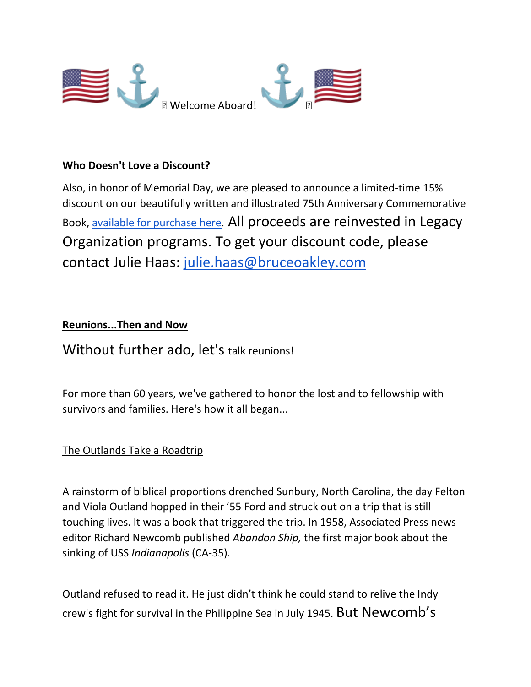

## **Who Doesn't Love a Discount?**

Also, in honor of Memorial Day, we are pleased to announce a limited-time 15% discount on our beautifully written and illustrated 75th Anniversary Commemorative Book, [available for purchase here.](https://store.bookbaby.com/book/USS-INDIANAPOLIS-CA-35) All proceeds are reinvested in Legacy Organization programs. To get your discount code, please contact Julie Haas: [julie.haas@bruceoakley.com](mailto:julie.haas@bruceoakley.com)

## **Reunions...Then and Now**

Without further ado, let's talk reunions!

For more than 60 years, we've gathered to honor the lost and to fellowship with survivors and families. Here's how it all began...

#### The Outlands Take a Roadtrip

A rainstorm of biblical proportions drenched Sunbury, North Carolina, the day Felton and Viola Outland hopped in their '55 Ford and struck out on a trip that is still touching lives. It was a book that triggered the trip. In 1958, Associated Press news editor Richard Newcomb published *Abandon Ship,* the first major book about the sinking of USS *Indianapolis* (CA-35)*.*

Outland refused to read it. He just didn't think he could stand to relive the Indy crew's fight for survival in the Philippine Sea in July 1945. But Newcomb's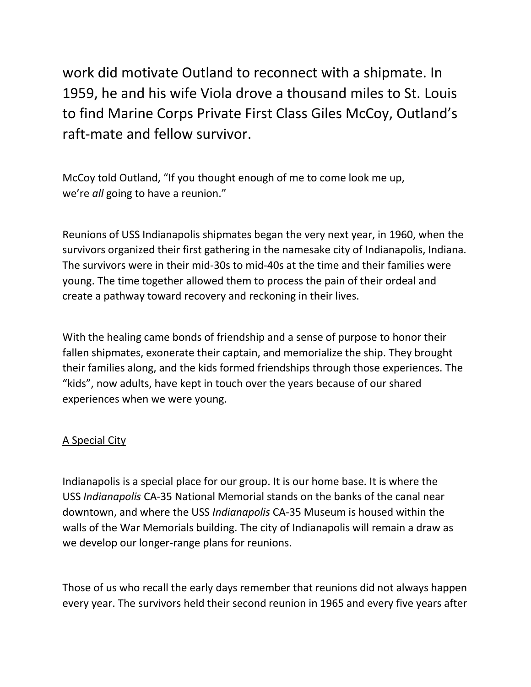work did motivate Outland to reconnect with a shipmate. In 1959, he and his wife Viola drove a thousand miles to St. Louis to find Marine Corps Private First Class Giles McCoy, Outland's raft-mate and fellow survivor.

McCoy told Outland, "If you thought enough of me to come look me up, we're *all* going to have a reunion."

Reunions of USS Indianapolis shipmates began the very next year, in 1960, when the survivors organized their first gathering in the namesake city of Indianapolis, Indiana. The survivors were in their mid-30s to mid-40s at the time and their families were young. The time together allowed them to process the pain of their ordeal and create a pathway toward recovery and reckoning in their lives.

With the healing came bonds of friendship and a sense of purpose to honor their fallen shipmates, exonerate their captain, and memorialize the ship. They brought their families along, and the kids formed friendships through those experiences. The "kids", now adults, have kept in touch over the years because of our shared experiences when we were young.

# A Special City

Indianapolis is a special place for our group. It is our home base. It is where the USS *Indianapolis* CA-35 National Memorial stands on the banks of the canal near downtown, and where the USS *Indianapolis* CA-35 Museum is housed within the walls of the War Memorials building. The city of Indianapolis will remain a draw as we develop our longer-range plans for reunions.

Those of us who recall the early days remember that reunions did not always happen every year. The survivors held their second reunion in 1965 and every five years after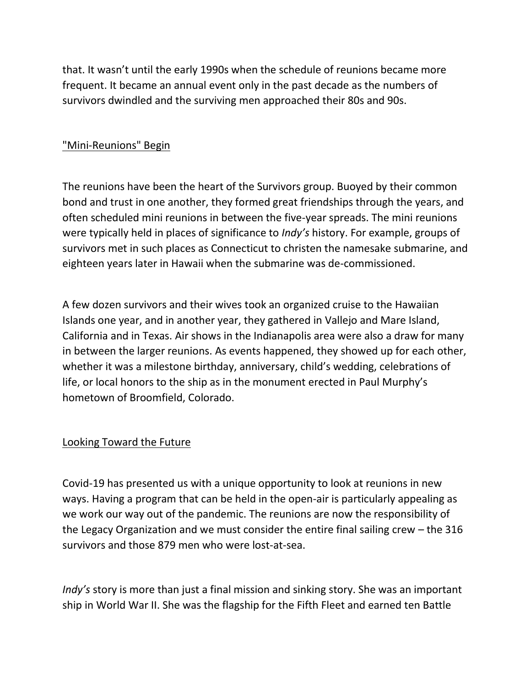that. It wasn't until the early 1990s when the schedule of reunions became more frequent. It became an annual event only in the past decade as the numbers of survivors dwindled and the surviving men approached their 80s and 90s.

#### "Mini-Reunions" Begin

The reunions have been the heart of the Survivors group. Buoyed by their common bond and trust in one another, they formed great friendships through the years, and often scheduled mini reunions in between the five-year spreads. The mini reunions were typically held in places of significance to *Indy's* history. For example, groups of survivors met in such places as Connecticut to christen the namesake submarine, and eighteen years later in Hawaii when the submarine was de-commissioned.

A few dozen survivors and their wives took an organized cruise to the Hawaiian Islands one year, and in another year, they gathered in Vallejo and Mare Island, California and in Texas. Air shows in the Indianapolis area were also a draw for many in between the larger reunions. As events happened, they showed up for each other, whether it was a milestone birthday, anniversary, child's wedding, celebrations of life, or local honors to the ship as in the monument erected in Paul Murphy's hometown of Broomfield, Colorado.

#### Looking Toward the Future

Covid-19 has presented us with a unique opportunity to look at reunions in new ways. Having a program that can be held in the open-air is particularly appealing as we work our way out of the pandemic. The reunions are now the responsibility of the Legacy Organization and we must consider the entire final sailing crew – the 316 survivors and those 879 men who were lost-at-sea.

*Indy's* story is more than just a final mission and sinking story. She was an important ship in World War II. She was the flagship for the Fifth Fleet and earned ten Battle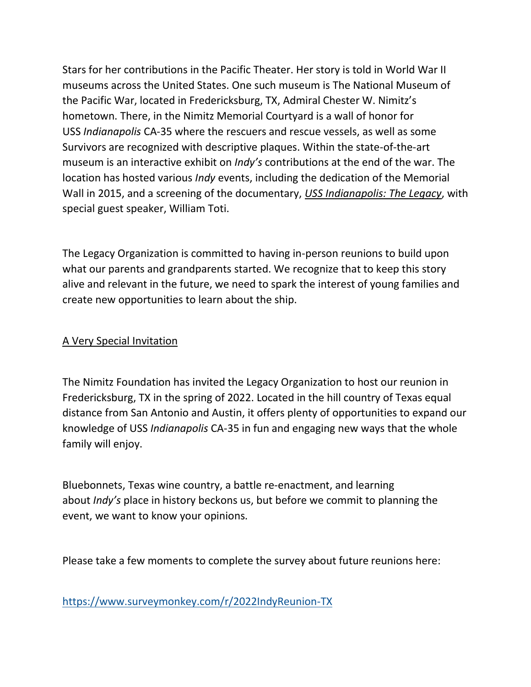Stars for her contributions in the Pacific Theater. Her story is told in World War II museums across the United States. One such museum is The National Museum of the Pacific War, located in Fredericksburg, TX, Admiral Chester W. Nimitz's hometown. There, in the Nimitz Memorial Courtyard is a wall of honor for USS *Indianapolis* CA-35 where the rescuers and rescue vessels, as well as some Survivors are recognized with descriptive plaques. Within the state-of-the-art museum is an interactive exhibit on *Indy's* contributions at the end of the war. The location has hosted various *Indy* events, including the dedication of the Memorial Wall in 2015, and a screening of the documentary, *USS Indianapolis: The Legacy*, with special guest speaker, William Toti.

The Legacy Organization is committed to having in-person reunions to build upon what our parents and grandparents started. We recognize that to keep this story alive and relevant in the future, we need to spark the interest of young families and create new opportunities to learn about the ship.

# A Very Special Invitation

The Nimitz Foundation has invited the Legacy Organization to host our reunion in Fredericksburg, TX in the spring of 2022. Located in the hill country of Texas equal distance from San Antonio and Austin, it offers plenty of opportunities to expand our knowledge of USS *Indianapolis* CA-35 in fun and engaging new ways that the whole family will enjoy.

Bluebonnets, Texas wine country, a battle re-enactment, and learning about *Indy's* place in history beckons us, but before we commit to planning the event, we want to know your opinions.

Please take a few moments to complete the survey about future reunions here:

<https://www.surveymonkey.com/r/2022IndyReunion-TX>